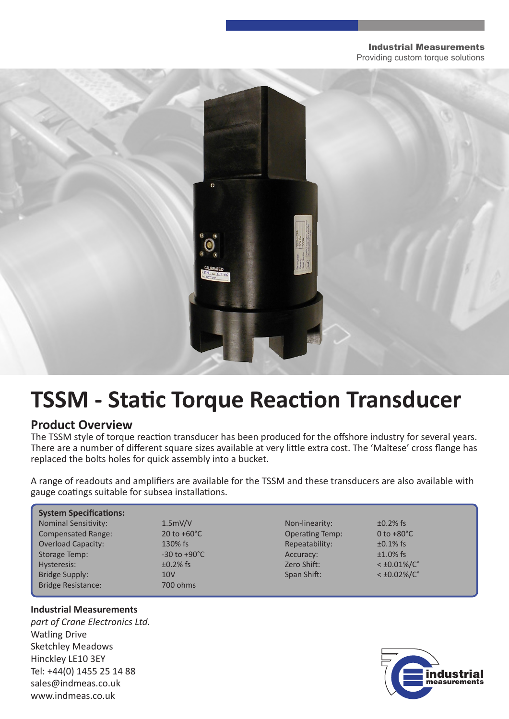#### Industrial Measurements

Providing custom torque solutions



# **TSSM - Static Torque Reaction Transducer**

### **Product Overview**

The TSSM style of torque reaction transducer has been produced for the offshore industry for several years. There are a number of different square sizes available at very little extra cost. The 'Maltese' cross flange has replaced the bolts holes for quick assembly into a bucket.

A range of readouts and amplifiers are available for the TSSM and these transducers are also available with gauge coatings suitable for subsea installations.

| <b>System Specifications:</b> |                          |                        |                         |
|-------------------------------|--------------------------|------------------------|-------------------------|
| <b>Nominal Sensitivity:</b>   | 1.5mV/V                  | Non-linearity:         | $\pm 0.2\%$ fs          |
| <b>Compensated Range:</b>     | 20 to $+60^{\circ}$ C    | <b>Operating Temp:</b> | 0 to $+80^{\circ}$ C    |
| <b>Overload Capacity:</b>     | 130% fs                  | Repeatability:         | $\pm 0.1\%$ fs          |
| Storage Temp:                 | $-30$ to $+90^{\circ}$ C | Accuracy:              | $±1.0\%$ fs             |
| Hysteresis:                   | $\pm 0.2\%$ fs           | Zero Shift:            | $<$ ±0.01%/ $C^{\circ}$ |
| Bridge Supply:                | 10 <sub>V</sub>          | Span Shift:            | $<$ ±0.02%/C $^{\circ}$ |
| <b>Bridge Resistance:</b>     | 700 ohms                 |                        |                         |

#### **Industrial Measurements**

*part of Crane Electronics Ltd.* Watling Drive Sketchley Meadows Hinckley LE10 3EY Tel: +44(0) 1455 25 14 88 sales@indmeas.co.uk www.indmeas.co.uk